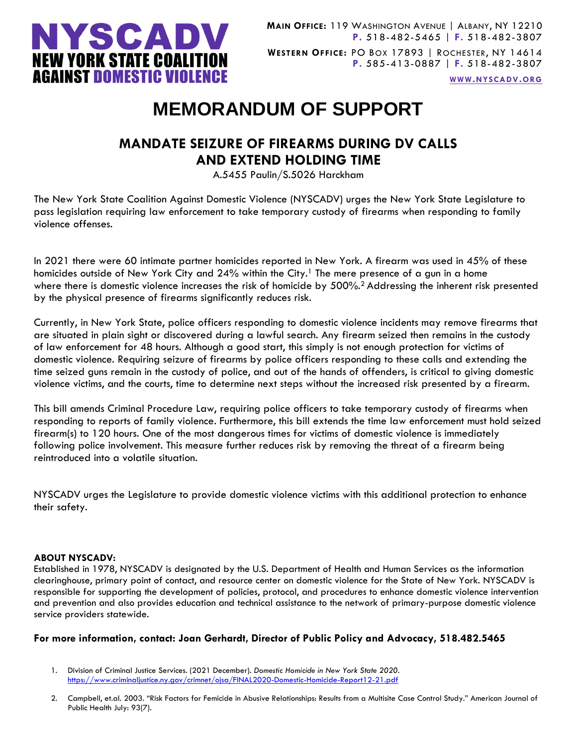

**WWW.[NYSCADV](file://///server/data/Official%20Documents/NYSCADV%20Logo%20&%20Branding/2015%20Letterhead/www.nyscadv.org).ORG**

## **MEMORANDUM OF SUPPORT**

## **MANDATE SEIZURE OF FIREARMS DURING DV CALLS AND EXTEND HOLDING TIME**

A.5455 Paulin/S.5026 Harckham

The New York State Coalition Against Domestic Violence (NYSCADV) urges the New York State Legislature to pass legislation requiring law enforcement to take temporary custody of firearms when responding to family violence offenses.

In 2021 there were 60 intimate partner homicides reported in New York. A firearm was used in 45% of these homicides outside of New York City and 24% within the City.<sup>1</sup> The mere presence of a gun in a home where there is domestic violence increases the risk of homicide by 500%.<sup>2</sup> Addressing the inherent risk presented by the physical presence of firearms significantly reduces risk.

Currently, in New York State, police officers responding to domestic violence incidents may remove firearms that are situated in plain sight or discovered during a lawful search. Any firearm seized then remains in the custody of law enforcement for 48 hours. Although a good start, this simply is not enough protection for victims of domestic violence. Requiring seizure of firearms by police officers responding to these calls and extending the time seized guns remain in the custody of police, and out of the hands of offenders, is critical to giving domestic violence victims, and the courts, time to determine next steps without the increased risk presented by a firearm.

This bill amends Criminal Procedure Law, requiring police officers to take temporary custody of firearms when responding to reports of family violence. Furthermore, this bill extends the time law enforcement must hold seized firearm(s) to 120 hours. One of the most dangerous times for victims of domestic violence is immediately following police involvement. This measure further reduces risk by removing the threat of a firearm being reintroduced into a volatile situation.

NYSCADV urges the Legislature to provide domestic violence victims with this additional protection to enhance their safety.

## **ABOUT NYSCADV:**

Established in 1978, NYSCADV is designated by the U.S. Department of Health and Human Services as the information clearinghouse, primary point of contact, and resource center on domestic violence for the State of New York. NYSCADV is responsible for supporting the development of policies, protocol, and procedures to enhance domestic violence intervention and prevention and also provides education and technical assistance to the network of primary-purpose domestic violence service providers statewide.

## **For more information, contact: Joan Gerhardt, Director of Public Policy and Advocacy, 518.482.5465**

- 1. Division of Criminal Justice Services. (2021 December). *Domestic Homicide in New York State 2020*. <https://www.criminaljustice.ny.gov/crimnet/ojsa/FINAL2020-Domestic-Homicide-Report12-21.pdf>
- 2. Campbell, et.al. 2003. "Risk Factors for Femicide in Abusive Relationships: Results from a Multisite Case Control Study." American Journal of Public Health July: 93(7).